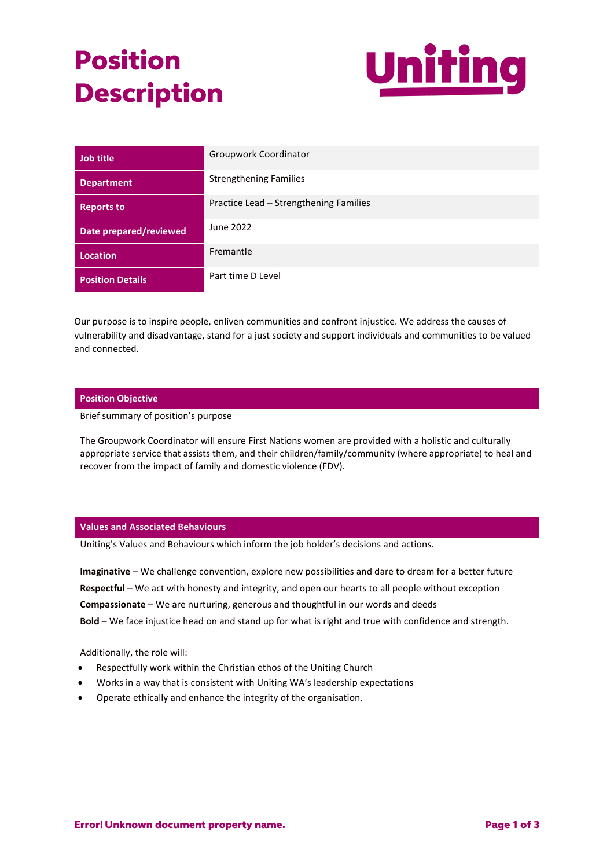# **Position Description**



| Job title               | Groupwork Coordinator                  |
|-------------------------|----------------------------------------|
| <b>Department</b>       | <b>Strengthening Families</b>          |
| <b>Reports to</b>       | Practice Lead - Strengthening Families |
| Date prepared/reviewed  | June 2022                              |
| <b>Location</b>         | Fremantle                              |
| <b>Position Details</b> | Part time D Level                      |

Our purpose is to inspire people, enliven communities and confront injustice. We address the causes of vulnerability and disadvantage, stand for a just society and support individuals and communities to be valued and connected.

## **Position Objective**

Brief summary of position's purpose

The Groupwork Coordinator will ensure First Nations women are provided with a holistic and culturally appropriate service that assists them, and their children/family/community (where appropriate) to heal and recover from the impact of family and domestic violence (FDV).

#### **Values and Associated Behaviours**

Uniting's Values and Behaviours which inform the job holder's decisions and actions.

**Imaginative** – We challenge convention, explore new possibilities and dare to dream for a better future **Respectful** – We act with honesty and integrity, and open our hearts to all people without exception **Compassionate** – We are nurturing, generous and thoughtful in our words and deeds **Bold** – We face injustice head on and stand up for what is right and true with confidence and strength.

Additionally, the role will:

- Respectfully work within the Christian ethos of the Uniting Church
- Works in a way that is consistent with Uniting WA's leadership expectations
- Operate ethically and enhance the integrity of the organisation.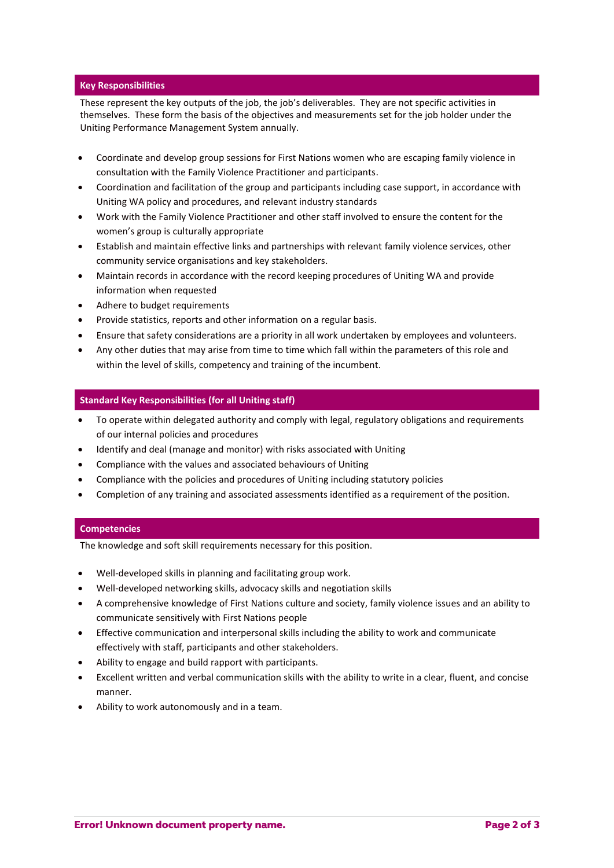## **Key Responsibilities**

These represent the key outputs of the job, the job's deliverables. They are not specific activities in themselves. These form the basis of the objectives and measurements set for the job holder under the Uniting Performance Management System annually.

- Coordinate and develop group sessions for First Nations women who are escaping family violence in consultation with the Family Violence Practitioner and participants.
- Coordination and facilitation of the group and participants including case support, in accordance with Uniting WA policy and procedures, and relevant industry standards
- Work with the Family Violence Practitioner and other staff involved to ensure the content for the women's group is culturally appropriate
- Establish and maintain effective links and partnerships with relevant family violence services, other community service organisations and key stakeholders.
- Maintain records in accordance with the record keeping procedures of Uniting WA and provide information when requested
- Adhere to budget requirements
- Provide statistics, reports and other information on a regular basis.
- Ensure that safety considerations are a priority in all work undertaken by employees and volunteers.
- Any other duties that may arise from time to time which fall within the parameters of this role and within the level of skills, competency and training of the incumbent.

#### **Standard Key Responsibilities (for all Uniting staff)**

- To operate within delegated authority and comply with legal, regulatory obligations and requirements of our internal policies and procedures
- Identify and deal (manage and monitor) with risks associated with Uniting
- Compliance with the values and associated behaviours of Uniting
- Compliance with the policies and procedures of Uniting including statutory policies
- Completion of any training and associated assessments identified as a requirement of the position.

#### **Competencies**

The knowledge and soft skill requirements necessary for this position.

- Well-developed skills in planning and facilitating group work.
- Well-developed networking skills, advocacy skills and negotiation skills
- A comprehensive knowledge of First Nations culture and society, family violence issues and an ability to communicate sensitively with First Nations people
- Effective communication and interpersonal skills including the ability to work and communicate effectively with staff, participants and other stakeholders.
- Ability to engage and build rapport with participants.
- Excellent written and verbal communication skills with the ability to write in a clear, fluent, and concise manner.
- Ability to work autonomously and in a team.